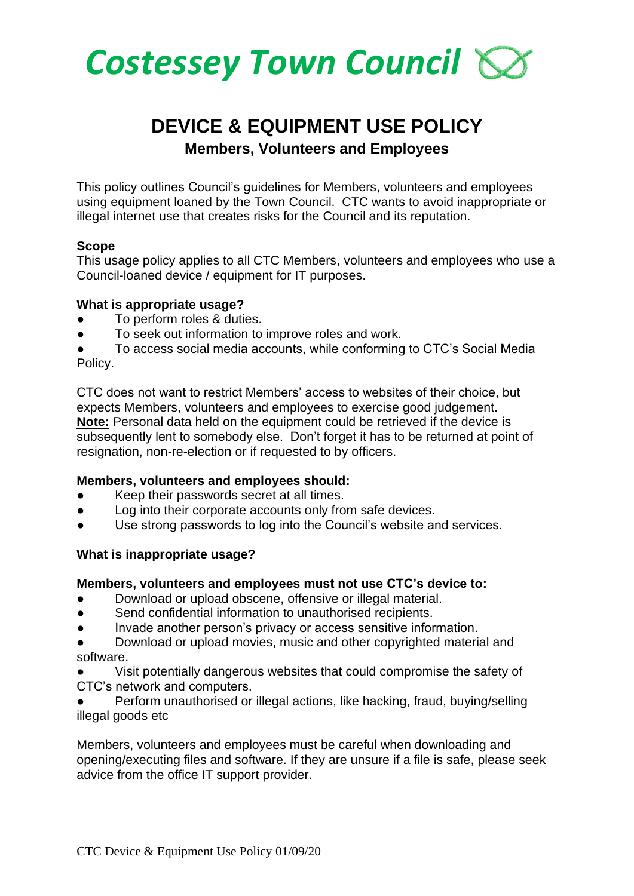

# **DEVICE & EQUIPMENT USE POLICY**

**Members, Volunteers and Employees** 

This policy outlines Council's guidelines for Members, volunteers and employees using equipment loaned by the Town Council. CTC wants to avoid inappropriate or illegal internet use that creates risks for the Council and its reputation.

### **Scope**

This usage policy applies to all CTC Members, volunteers and employees who use a Council-loaned device / equipment for IT purposes.

#### **What is appropriate usage?**

- To perform roles & duties.
- To seek out information to improve roles and work.

To access social media accounts, while conforming to CTC's Social Media Policy.

CTC does not want to restrict Members' access to websites of their choice, but expects Members, volunteers and employees to exercise good judgement. **Note:** Personal data held on the equipment could be retrieved if the device is subsequently lent to somebody else. Don't forget it has to be returned at point of resignation, non-re-election or if requested to by officers.

# **Members, volunteers and employees should:**

- Keep their passwords secret at all times.
- Log into their corporate accounts only from safe devices.
- Use strong passwords to log into the Council's website and services.

# **What is inappropriate usage?**

#### **Members, volunteers and employees must not use CTC's device to:**

- Download or upload obscene, offensive or illegal material.
- Send confidential information to unauthorised recipients.
- Invade another person's privacy or access sensitive information.

Download or upload movies, music and other copyrighted material and software.

Visit potentially dangerous websites that could compromise the safety of CTC's network and computers.

Perform unauthorised or illegal actions, like hacking, fraud, buying/selling illegal goods etc

Members, volunteers and employees must be careful when downloading and opening/executing files and software. If they are unsure if a file is safe, please seek advice from the office IT support provider.